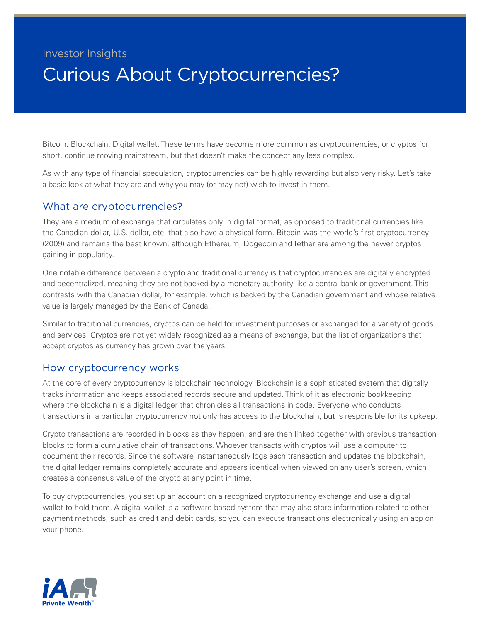# Investor Insights Curious About Cryptocurrencies?

Bitcoin. Blockchain. Digital wallet. These terms have become more common as cryptocurrencies, or cryptos for short, continue moving mainstream, but that doesn't make the concept any less complex.

As with any type of financial speculation, cryptocurrencies can be highly rewarding but also very risky. Let's take a basic look at what they are and why you may (or may not) wish to invest in them.

### What are cryptocurrencies?

They are a medium of exchange that circulates only in digital format, as opposed to traditional currencies like the Canadian dollar, U.S. dollar, etc. that also have a physical form. Bitcoin was the world's first cryptocurrency (2009) and remains the best known, although Ethereum, Dogecoin and Tether are among the newer cryptos gaining in popularity.

One notable difference between a crypto and traditional currency is that cryptocurrencies are digitally encrypted and decentralized, meaning they are not backed by a monetary authority like a central bank or government. This contrasts with the Canadian dollar, for example, which is backed by the Canadian government and whose relative value is largely managed by the Bank of Canada.

Similar to traditional currencies, cryptos can be held for investment purposes or exchanged for a variety of goods and services. Cryptos are not yet widely recognized as a means of exchange, but the list of organizations that accept cryptos as currency has grown over the years.

### How cryptocurrency works

At the core of every cryptocurrency is blockchain technology. Blockchain is a sophisticated system that digitally tracks information and keeps associated records secure and updated. Think of it as electronic bookkeeping, where the blockchain is a digital ledger that chronicles all transactions in code. Everyone who conducts transactions in a particular cryptocurrency not only has access to the blockchain, but is responsible for its upkeep.

Crypto transactions are recorded in blocks as they happen, and are then linked together with previous transaction blocks to form a cumulative chain of transactions. Whoever transacts with cryptos will use a computer to document their records. Since the software instantaneously logs each transaction and updates the blockchain, the digital ledger remains completely accurate and appears identical when viewed on any user's screen, which creates a consensus value of the crypto at any point in time.

To buy cryptocurrencies, you set up an account on a recognized cryptocurrency exchange and use a digital wallet to hold them. A digital wallet is a software-based system that may also store information related to other payment methods, such as credit and debit cards, so you can execute transactions electronically using an app on your phone.